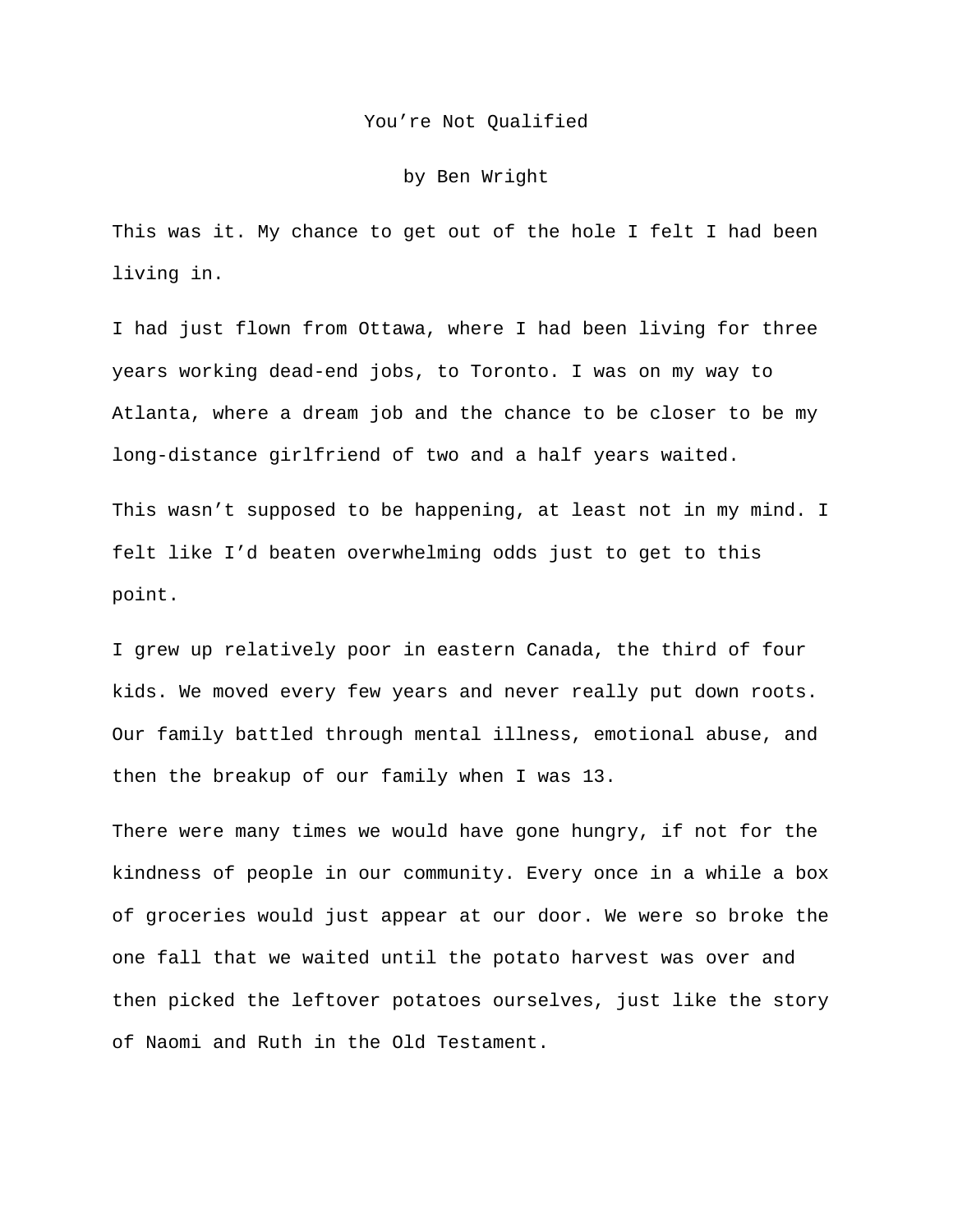## You're Not Qualified

## by Ben Wright

This was it. My chance to get out of the hole I felt I had been living in.

I had just flown from Ottawa, where I had been living for three years working dead-end jobs, to Toronto. I was on my way to Atlanta, where a dream job and the chance to be closer to be my long-distance girlfriend of two and a half years waited.

This wasn't supposed to be happening, at least not in my mind. I felt like I'd beaten overwhelming odds just to get to this point.

I grew up relatively poor in eastern Canada, the third of four kids. We moved every few years and never really put down roots. Our family battled through mental illness, emotional abuse, and then the breakup of our family when I was 13.

There were many times we would have gone hungry, if not for the kindness of people in our community. Every once in a while a box of groceries would just appear at our door. We were so broke the one fall that we waited until the potato harvest was over and then picked the leftover potatoes ourselves, just like the story of Naomi and Ruth in the Old Testament.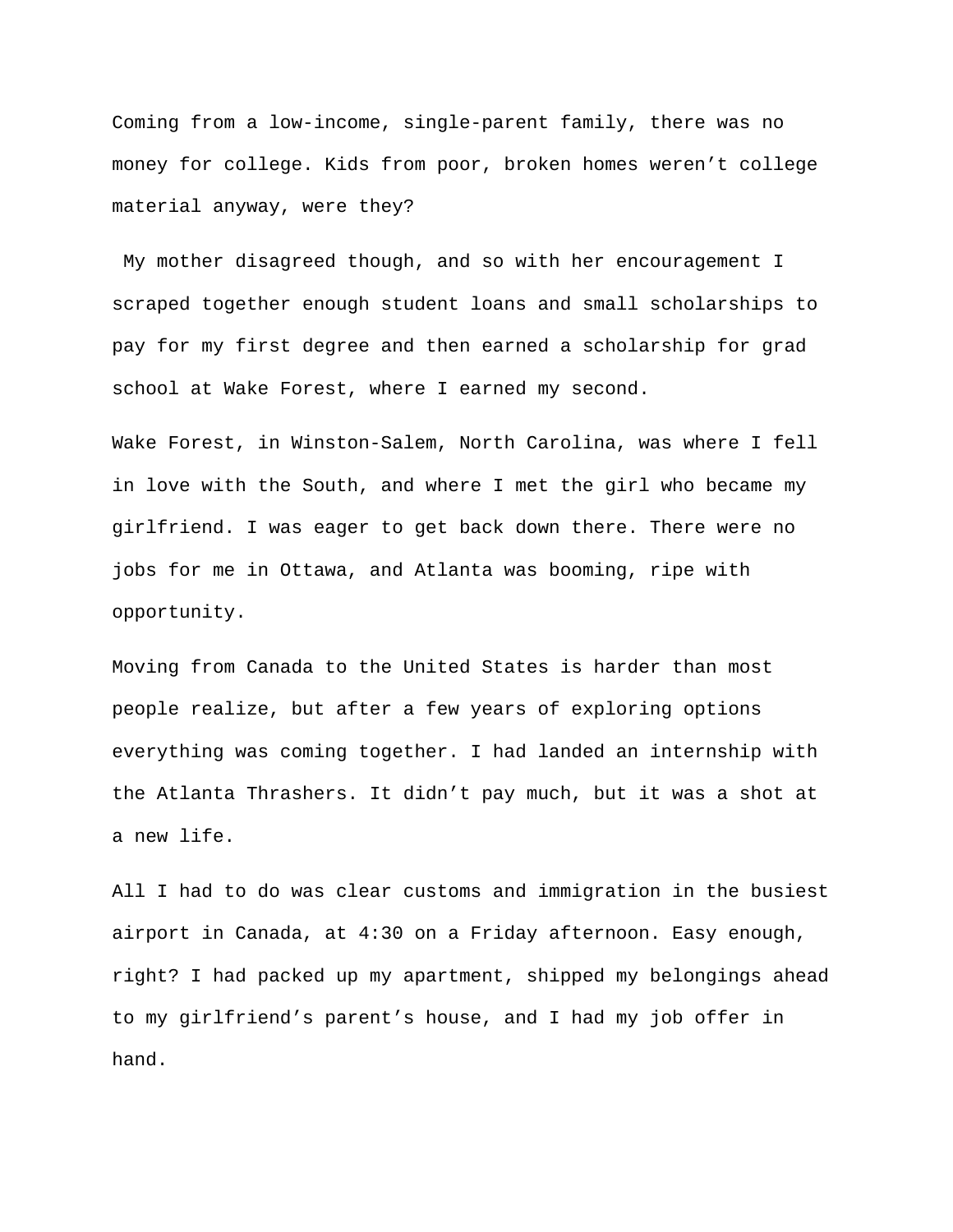Coming from a low-income, single-parent family, there was no money for college. Kids from poor, broken homes weren't college material anyway, were they?

My mother disagreed though, and so with her encouragement I scraped together enough student loans and small scholarships to pay for my first degree and then earned a scholarship for grad school at Wake Forest, where I earned my second.

Wake Forest, in Winston-Salem, North Carolina, was where I fell in love with the South, and where I met the girl who became my girlfriend. I was eager to get back down there. There were no jobs for me in Ottawa, and Atlanta was booming, ripe with opportunity.

Moving from Canada to the United States is harder than most people realize, but after a few years of exploring options everything was coming together. I had landed an internship with the Atlanta Thrashers. It didn't pay much, but it was a shot at a new life.

All I had to do was clear customs and immigration in the busiest airport in Canada, at 4:30 on a Friday afternoon. Easy enough, right? I had packed up my apartment, shipped my belongings ahead to my girlfriend's parent's house, and I had my job offer in hand.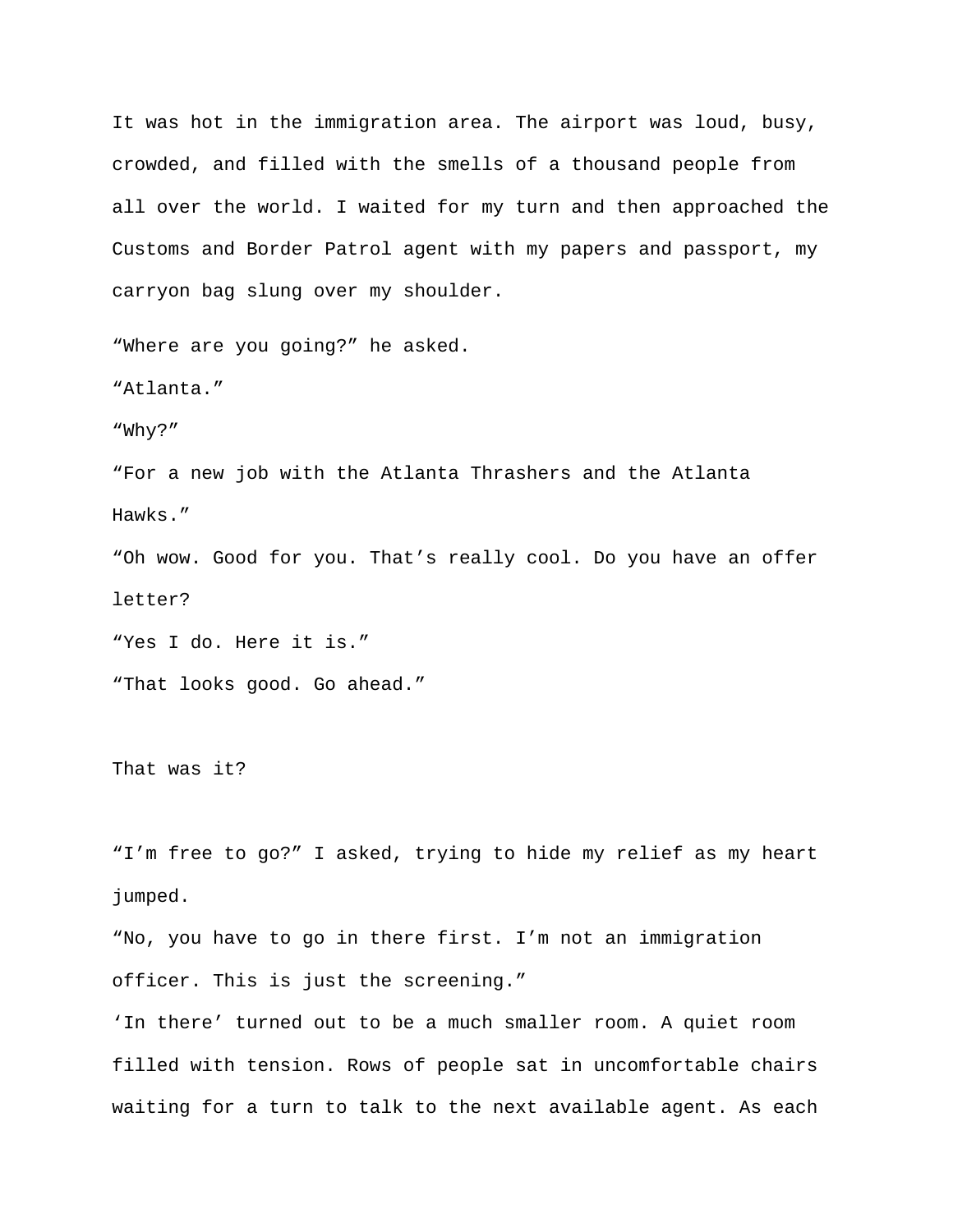It was hot in the immigration area. The airport was loud, busy, crowded, and filled with the smells of a thousand people from all over the world. I waited for my turn and then approached the Customs and Border Patrol agent with my papers and passport, my carryon bag slung over my shoulder.

"Where are you going?" he asked.

"Atlanta."

"Why?"

"For a new job with the Atlanta Thrashers and the Atlanta Hawks."

"Oh wow. Good for you. That's really cool. Do you have an offer letter?

"Yes I do. Here it is."

"That looks good. Go ahead."

That was it?

"I'm free to go?" I asked, trying to hide my relief as my heart jumped.

"No, you have to go in there first. I'm not an immigration officer. This is just the screening."

'In there' turned out to be a much smaller room. A quiet room filled with tension. Rows of people sat in uncomfortable chairs waiting for a turn to talk to the next available agent. As each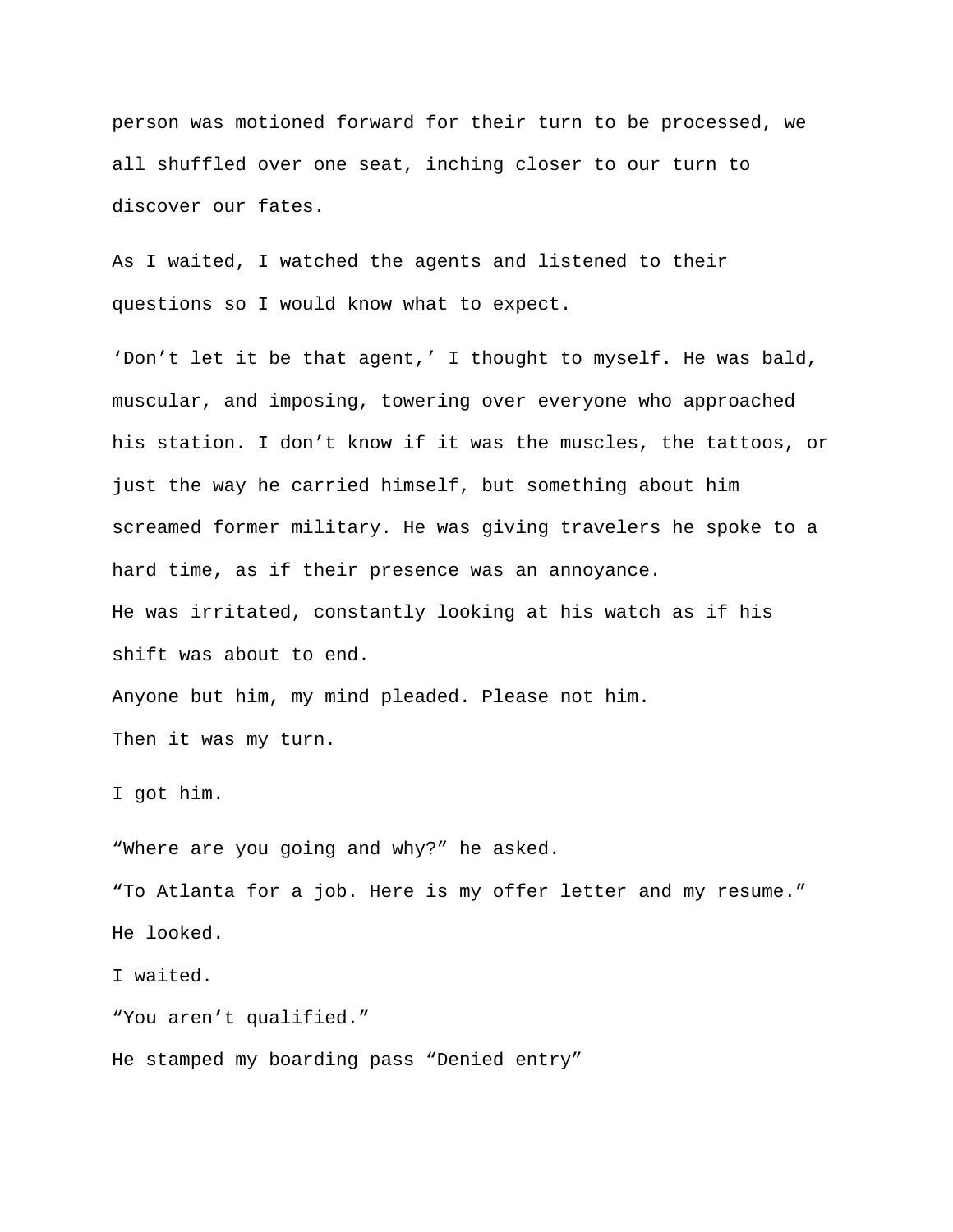person was motioned forward for their turn to be processed, we all shuffled over one seat, inching closer to our turn to discover our fates.

As I waited, I watched the agents and listened to their questions so I would know what to expect.

'Don't let it be that agent,' I thought to myself. He was bald, muscular, and imposing, towering over everyone who approached his station. I don't know if it was the muscles, the tattoos, or just the way he carried himself, but something about him screamed former military. He was giving travelers he spoke to a hard time, as if their presence was an annoyance. He was irritated, constantly looking at his watch as if his shift was about to end. Anyone but him, my mind pleaded. Please not him.

Then it was my turn.

I got him.

"Where are you going and why?" he asked. "To Atlanta for a job. Here is my offer letter and my resume." He looked.

I waited.

"You aren't qualified."

He stamped my boarding pass "Denied entry"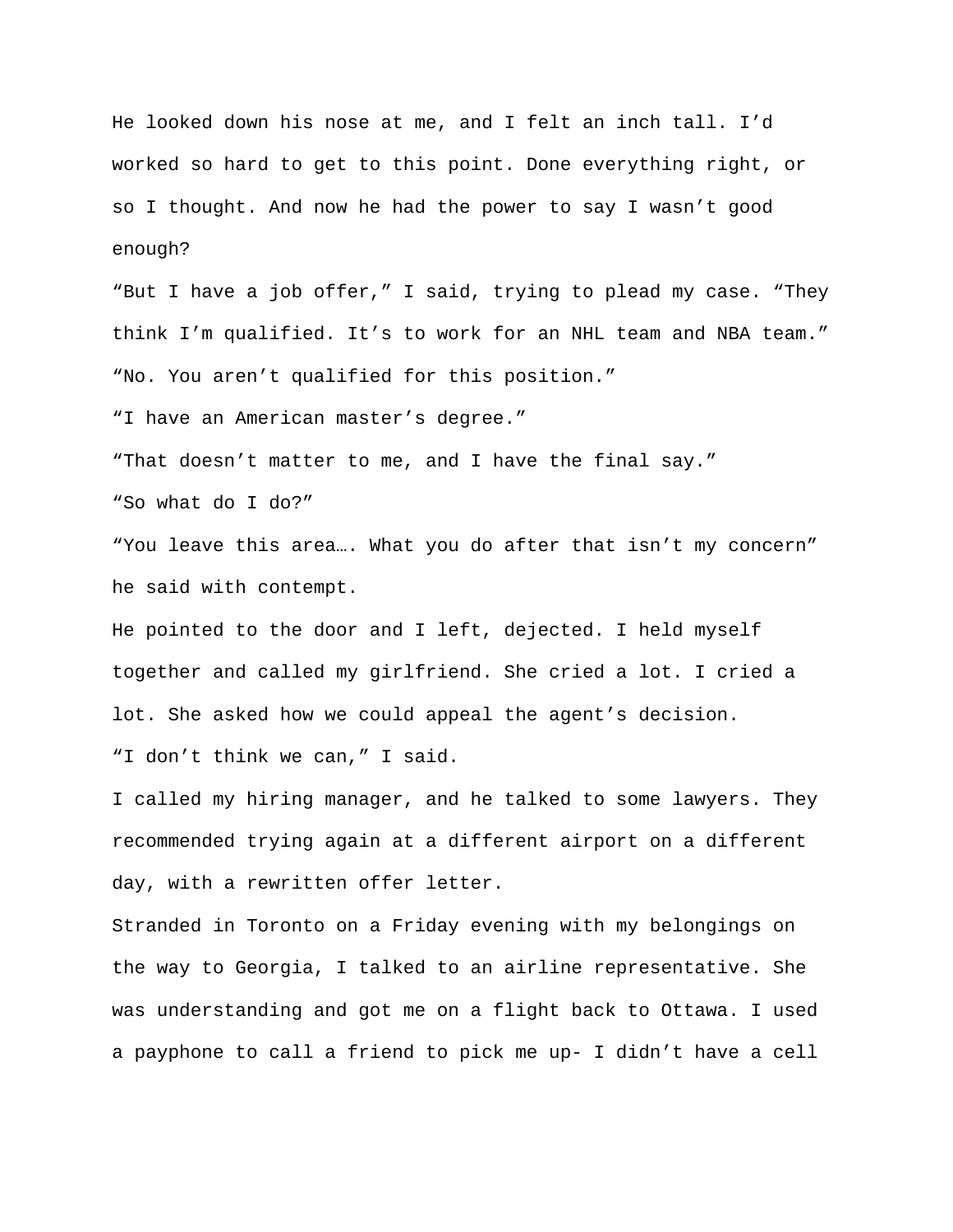He looked down his nose at me, and I felt an inch tall. I'd worked so hard to get to this point. Done everything right, or so I thought. And now he had the power to say I wasn't good enough?

"But I have a job offer," I said, trying to plead my case. "They think I'm qualified. It's to work for an NHL team and NBA team." "No. You aren't qualified for this position."

"I have an American master's degree."

"That doesn't matter to me, and I have the final say."

"So what do I do?"

"You leave this area…. What you do after that isn't my concern" he said with contempt.

He pointed to the door and I left, dejected. I held myself together and called my girlfriend. She cried a lot. I cried a lot. She asked how we could appeal the agent's decision. "I don't think we can," I said.

I called my hiring manager, and he talked to some lawyers. They recommended trying again at a different airport on a different day, with a rewritten offer letter.

Stranded in Toronto on a Friday evening with my belongings on the way to Georgia, I talked to an airline representative. She was understanding and got me on a flight back to Ottawa. I used a payphone to call a friend to pick me up- I didn't have a cell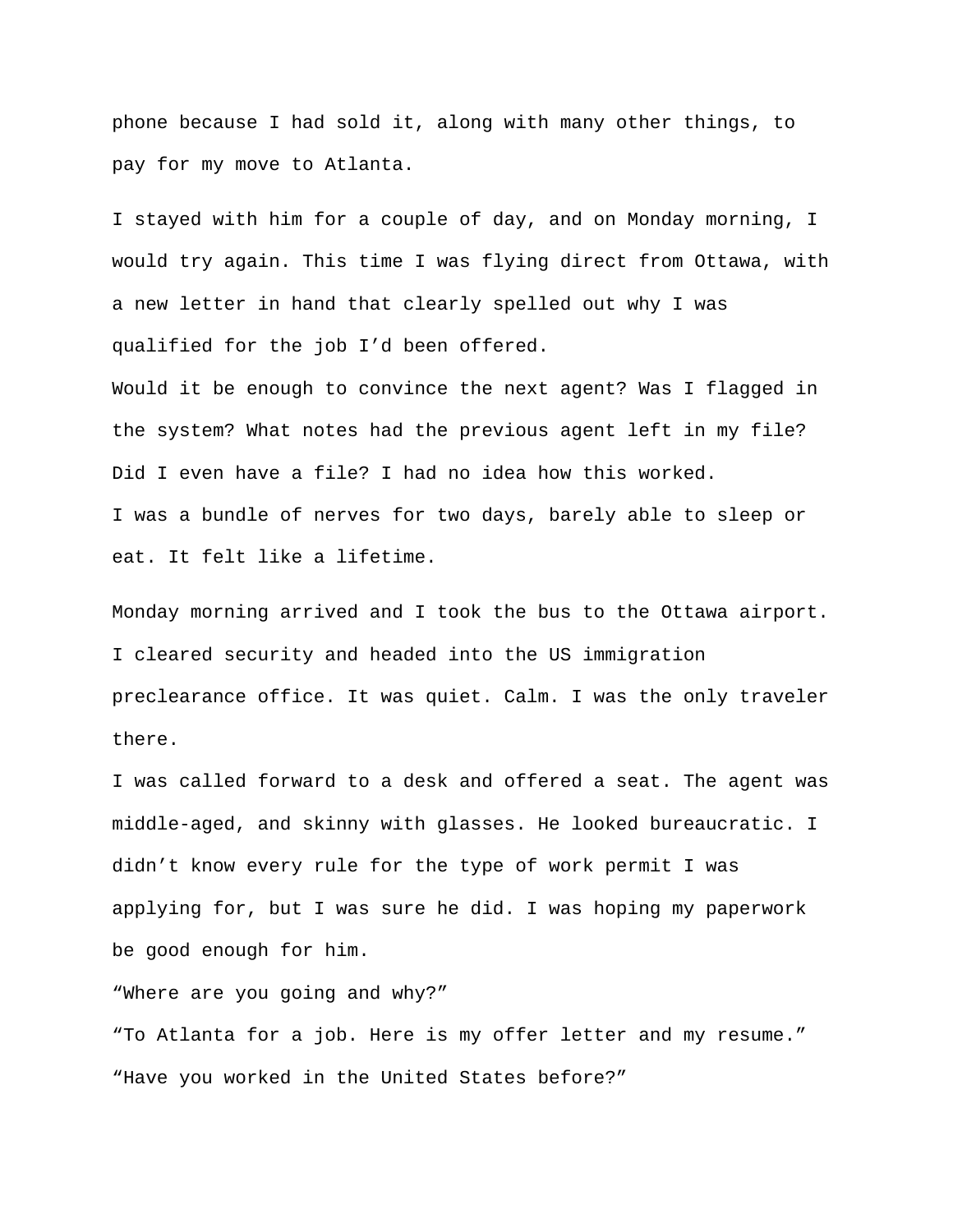phone because I had sold it, along with many other things, to pay for my move to Atlanta.

I stayed with him for a couple of day, and on Monday morning, I would try again. This time I was flying direct from Ottawa, with a new letter in hand that clearly spelled out why I was qualified for the job I'd been offered.

Would it be enough to convince the next agent? Was I flagged in the system? What notes had the previous agent left in my file? Did I even have a file? I had no idea how this worked. I was a bundle of nerves for two days, barely able to sleep or eat. It felt like a lifetime.

Monday morning arrived and I took the bus to the Ottawa airport. I cleared security and headed into the US immigration preclearance office. It was quiet. Calm. I was the only traveler there.

I was called forward to a desk and offered a seat. The agent was middle-aged, and skinny with glasses. He looked bureaucratic. I didn't know every rule for the type of work permit I was applying for, but I was sure he did. I was hoping my paperwork be good enough for him.

"Where are you going and why?"

"To Atlanta for a job. Here is my offer letter and my resume." "Have you worked in the United States before?"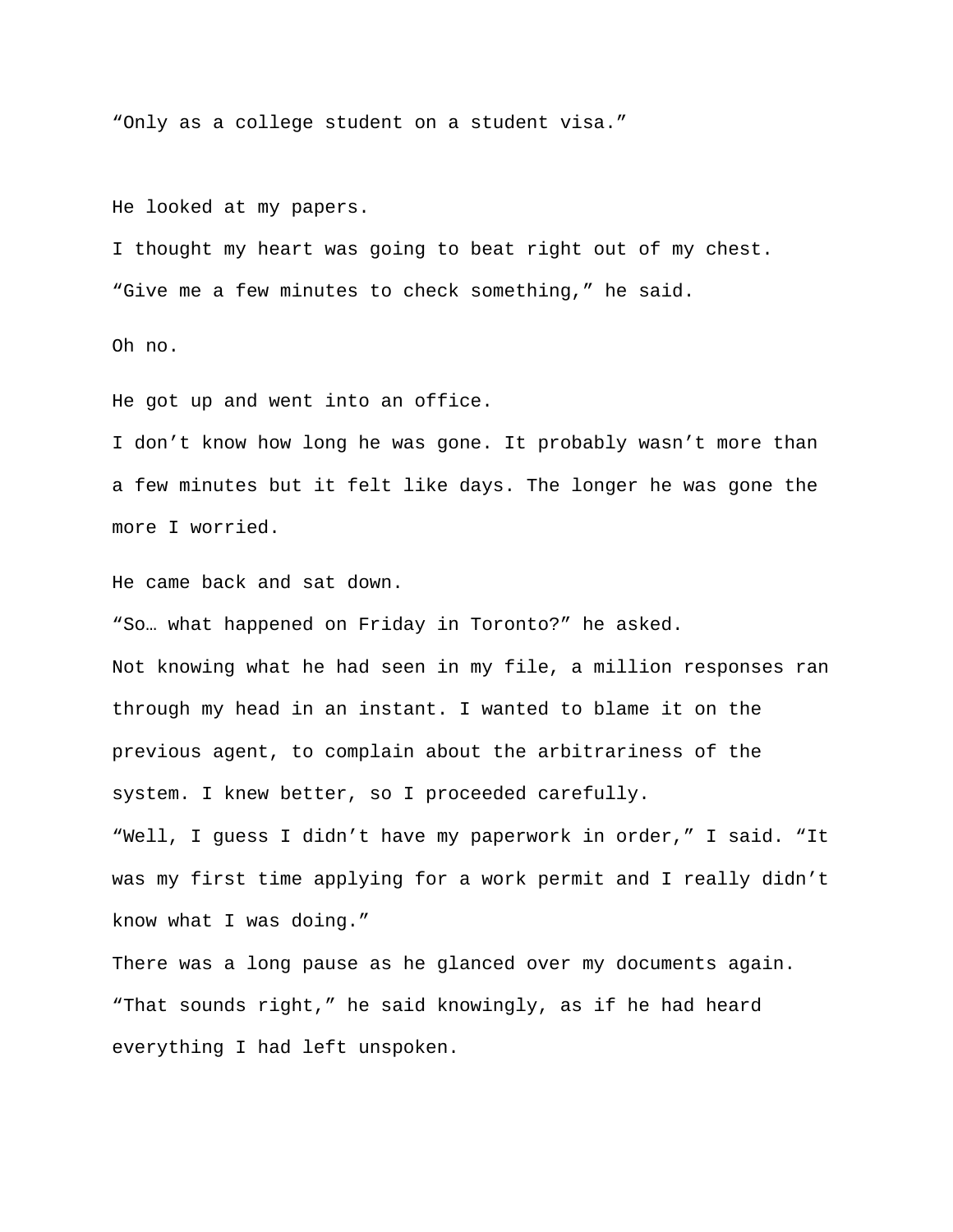"Only as a college student on a student visa."

He looked at my papers.

I thought my heart was going to beat right out of my chest. "Give me a few minutes to check something," he said.

Oh no.

He got up and went into an office.

I don't know how long he was gone. It probably wasn't more than a few minutes but it felt like days. The longer he was gone the more I worried.

He came back and sat down.

"So… what happened on Friday in Toronto?" he asked. Not knowing what he had seen in my file, a million responses ran through my head in an instant. I wanted to blame it on the previous agent, to complain about the arbitrariness of the system. I knew better, so I proceeded carefully. "Well, I guess I didn't have my paperwork in order," I said. "It was my first time applying for a work permit and I really didn't know what I was doing."

There was a long pause as he glanced over my documents again. "That sounds right," he said knowingly, as if he had heard everything I had left unspoken.